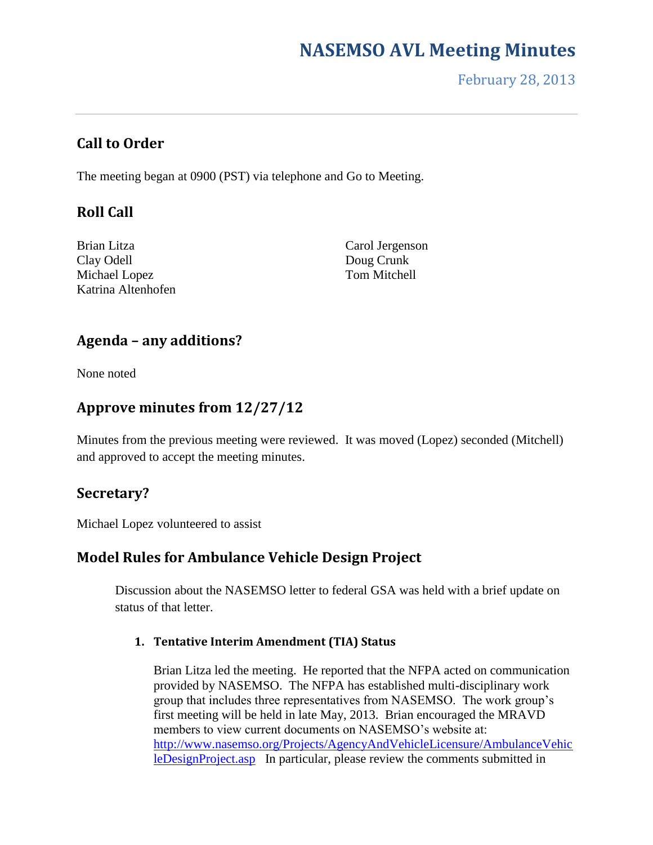February 28, 2013

## **Call to Order**

The meeting began at 0900 (PST) via telephone and Go to Meeting.

# **Roll Call**

Brian Litza Clay Odell Michael Lopez Katrina Altenhofen

Carol Jergenson Doug Crunk Tom Mitchell

### **Agenda – any additions?**

None noted

# **Approve minutes from 12/27/12**

Minutes from the previous meeting were reviewed. It was moved (Lopez) seconded (Mitchell) and approved to accept the meeting minutes.

# **Secretary?**

Michael Lopez volunteered to assist

### **Model Rules for Ambulance Vehicle Design Project**

Discussion about the NASEMSO letter to federal GSA was held with a brief update on status of that letter.

#### **1. Tentative Interim Amendment (TIA) Status**

Brian Litza led the meeting. He reported that the NFPA acted on communication provided by NASEMSO. The NFPA has established multi-disciplinary work group that includes three representatives from NASEMSO. The work group's first meeting will be held in late May, 2013. Brian encouraged the MRAVD members to view current documents on NASEMSO's website at: [http://www.nasemso.org/Projects/AgencyAndVehicleLicensure/AmbulanceVehic](http://www.nasemso.org/Projects/AgencyAndVehicleLicensure/AmbulanceVehicleDesignProject.asp) [leDesignProject.asp](http://www.nasemso.org/Projects/AgencyAndVehicleLicensure/AmbulanceVehicleDesignProject.asp) In particular, please review the comments submitted in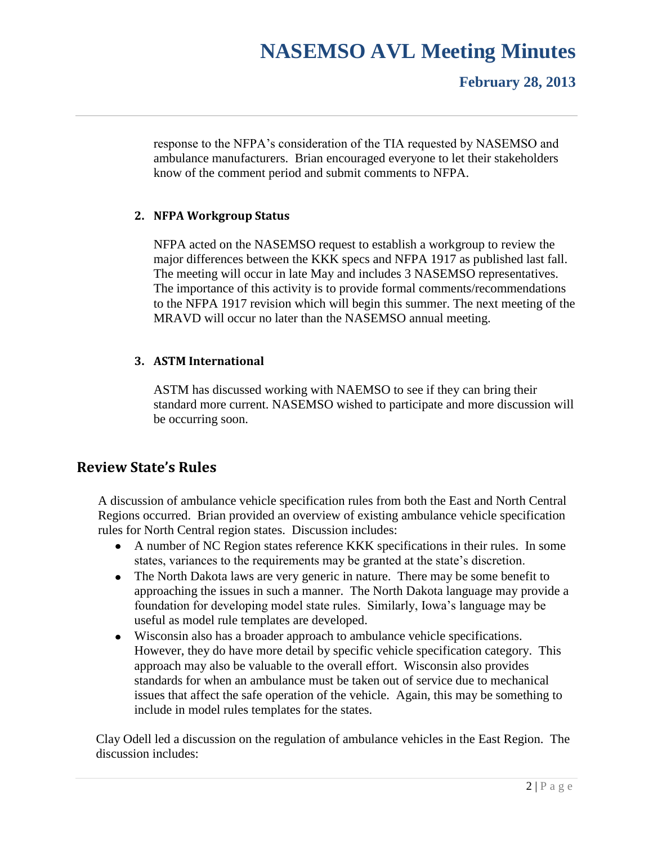### **February 28, 2013**

response to the NFPA's consideration of the TIA requested by NASEMSO and ambulance manufacturers. Brian encouraged everyone to let their stakeholders know of the comment period and submit comments to NFPA.

#### **2. NFPA Workgroup Status**

NFPA acted on the NASEMSO request to establish a workgroup to review the major differences between the KKK specs and NFPA 1917 as published last fall. The meeting will occur in late May and includes 3 NASEMSO representatives. The importance of this activity is to provide formal comments/recommendations to the NFPA 1917 revision which will begin this summer. The next meeting of the MRAVD will occur no later than the NASEMSO annual meeting.

#### **3. ASTM International**

ASTM has discussed working with NAEMSO to see if they can bring their standard more current. NASEMSO wished to participate and more discussion will be occurring soon.

### **Review State's Rules**

A discussion of ambulance vehicle specification rules from both the East and North Central Regions occurred. Brian provided an overview of existing ambulance vehicle specification rules for North Central region states. Discussion includes:

- A number of NC Region states reference KKK specifications in their rules. In some states, variances to the requirements may be granted at the state's discretion.
- The North Dakota laws are very generic in nature. There may be some benefit to approaching the issues in such a manner. The North Dakota language may provide a foundation for developing model state rules. Similarly, Iowa's language may be useful as model rule templates are developed.
- Wisconsin also has a broader approach to ambulance vehicle specifications. However, they do have more detail by specific vehicle specification category. This approach may also be valuable to the overall effort. Wisconsin also provides standards for when an ambulance must be taken out of service due to mechanical issues that affect the safe operation of the vehicle. Again, this may be something to include in model rules templates for the states.

Clay Odell led a discussion on the regulation of ambulance vehicles in the East Region. The discussion includes: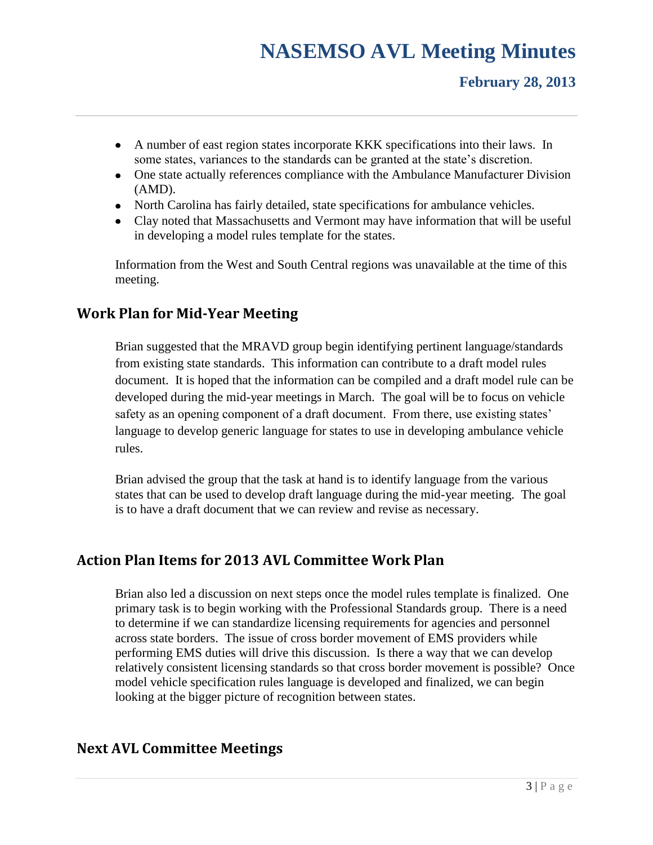## **February 28, 2013**

- A number of east region states incorporate KKK specifications into their laws. In some states, variances to the standards can be granted at the state's discretion.
- One state actually references compliance with the Ambulance Manufacturer Division (AMD).
- North Carolina has fairly detailed, state specifications for ambulance vehicles.
- Clay noted that Massachusetts and Vermont may have information that will be useful in developing a model rules template for the states.

Information from the West and South Central regions was unavailable at the time of this meeting.

# **Work Plan for Mid-Year Meeting**

Brian suggested that the MRAVD group begin identifying pertinent language/standards from existing state standards. This information can contribute to a draft model rules document. It is hoped that the information can be compiled and a draft model rule can be developed during the mid-year meetings in March. The goal will be to focus on vehicle safety as an opening component of a draft document. From there, use existing states' language to develop generic language for states to use in developing ambulance vehicle rules.

Brian advised the group that the task at hand is to identify language from the various states that can be used to develop draft language during the mid-year meeting. The goal is to have a draft document that we can review and revise as necessary.

# **Action Plan Items for 2013 AVL Committee Work Plan**

Brian also led a discussion on next steps once the model rules template is finalized. One primary task is to begin working with the Professional Standards group. There is a need to determine if we can standardize licensing requirements for agencies and personnel across state borders. The issue of cross border movement of EMS providers while performing EMS duties will drive this discussion. Is there a way that we can develop relatively consistent licensing standards so that cross border movement is possible? Once model vehicle specification rules language is developed and finalized, we can begin looking at the bigger picture of recognition between states.

# **Next AVL Committee Meetings**